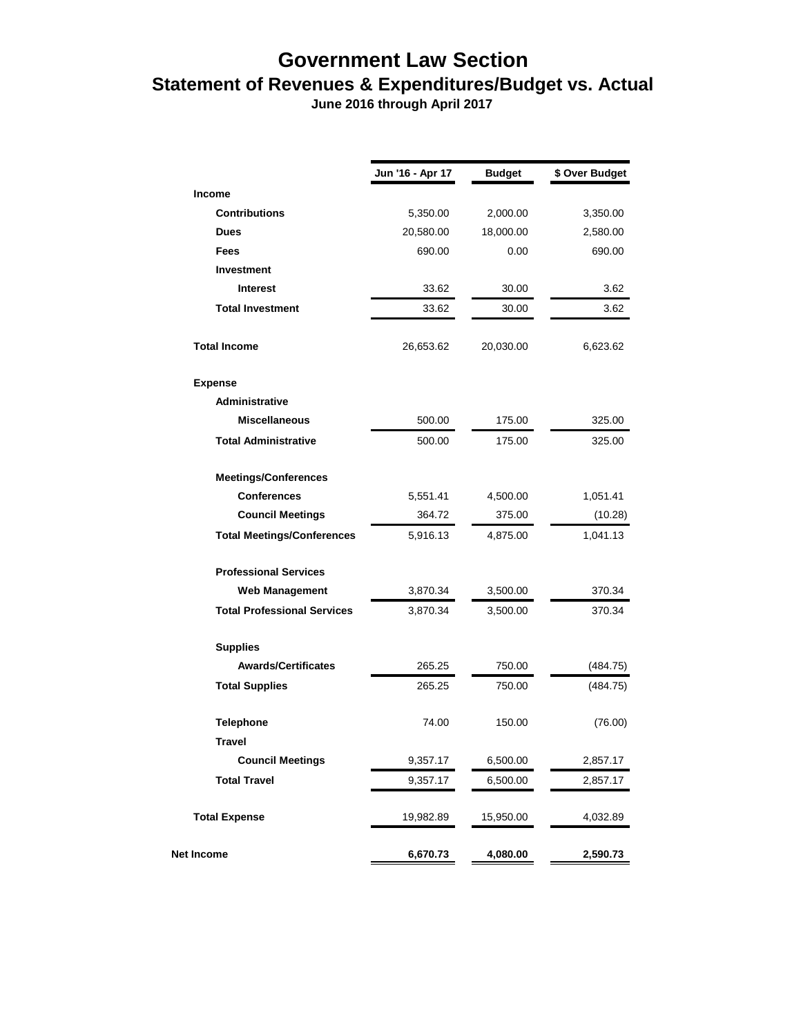## **Government Law Section Statement of Revenues & Expenditures/Budget vs. Actual**

 **June 2016 through April 2017**

|                                    | Jun '16 - Apr 17 | <b>Budget</b> | \$ Over Budget |
|------------------------------------|------------------|---------------|----------------|
| <b>Income</b>                      |                  |               |                |
| <b>Contributions</b>               | 5,350.00         | 2,000.00      | 3,350.00       |
| <b>Dues</b>                        | 20,580.00        | 18,000.00     | 2,580.00       |
| <b>Fees</b>                        | 690.00           | 0.00          | 690.00         |
| <b>Investment</b>                  |                  |               |                |
| <b>Interest</b>                    | 33.62            | 30.00         | 3.62           |
| <b>Total Investment</b>            | 33.62            | 30.00         | 3.62           |
| <b>Total Income</b>                | 26,653.62        | 20,030.00     | 6,623.62       |
| <b>Expense</b>                     |                  |               |                |
| Administrative                     |                  |               |                |
| <b>Miscellaneous</b>               | 500.00           | 175.00        | 325.00         |
| <b>Total Administrative</b>        | 500.00           | 175.00        | 325.00         |
| <b>Meetings/Conferences</b>        |                  |               |                |
| <b>Conferences</b>                 | 5,551.41         | 4,500.00      | 1,051.41       |
| <b>Council Meetings</b>            | 364.72           | 375.00        | (10.28)        |
| <b>Total Meetings/Conferences</b>  | 5,916.13         | 4,875.00      | 1,041.13       |
| <b>Professional Services</b>       |                  |               |                |
| Web Management                     | 3,870.34         | 3,500.00      | 370.34         |
| <b>Total Professional Services</b> | 3,870.34         | 3,500.00      | 370.34         |
| <b>Supplies</b>                    |                  |               |                |
| <b>Awards/Certificates</b>         | 265.25           | 750.00        | (484.75)       |
| <b>Total Supplies</b>              | 265.25           | 750.00        | (484.75)       |
| <b>Telephone</b>                   | 74.00            | 150.00        | (76.00)        |
| <b>Travel</b>                      |                  |               |                |
| <b>Council Meetings</b>            | 9,357.17         | 6,500.00      | 2,857.17       |
| <b>Total Travel</b>                | 9,357.17         | 6,500.00      | 2,857.17       |
| <b>Total Expense</b>               | 19,982.89        | 15,950.00     | 4,032.89       |
| <b>Net Income</b>                  | 6,670.73         | 4,080.00      | 2,590.73       |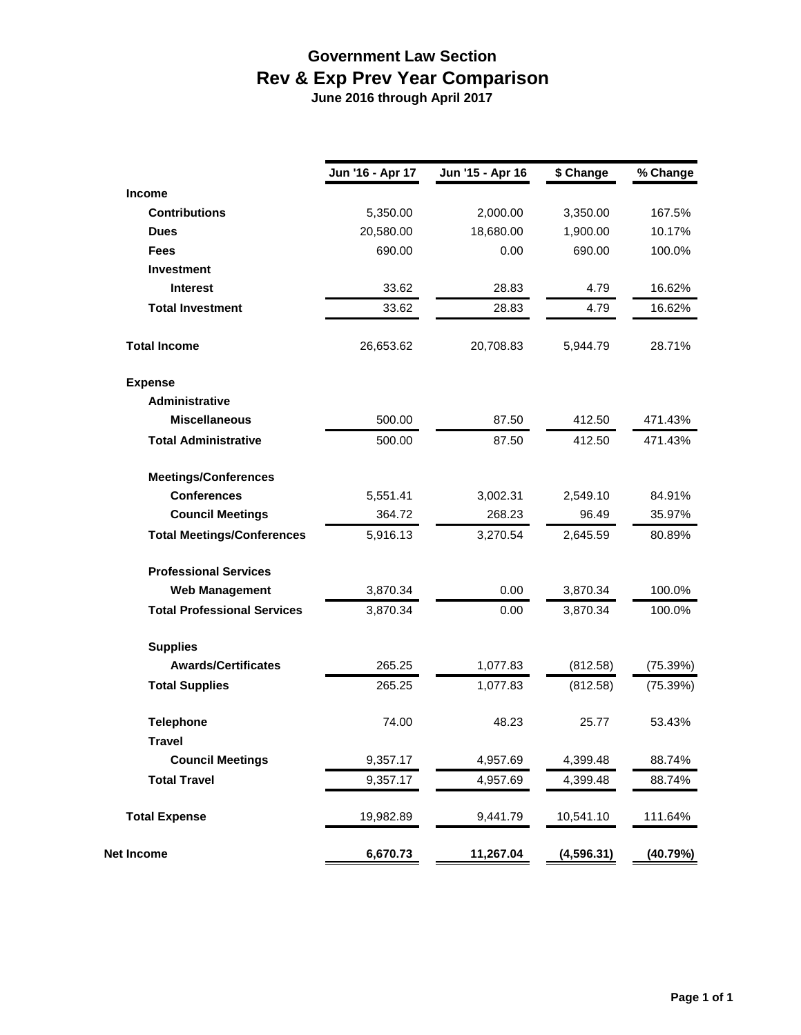## **Government Law Section Rev & Exp Prev Year Comparison June 2016 through April 2017**

|                                    | Jun '16 - Apr 17 | Jun '15 - Apr 16 | \$ Change | % Change |  |
|------------------------------------|------------------|------------------|-----------|----------|--|
| <b>Income</b>                      |                  |                  |           |          |  |
| <b>Contributions</b>               | 5,350.00         | 2,000.00         | 3,350.00  | 167.5%   |  |
| <b>Dues</b>                        | 20,580.00        | 18,680.00        | 1,900.00  | 10.17%   |  |
| <b>Fees</b>                        | 690.00           | 0.00             | 690.00    | 100.0%   |  |
| <b>Investment</b>                  |                  |                  |           |          |  |
| <b>Interest</b>                    | 33.62            | 28.83            | 4.79      | 16.62%   |  |
| <b>Total Investment</b>            | 33.62            | 28.83            | 4.79      | 16.62%   |  |
| <b>Total Income</b>                | 26,653.62        | 20,708.83        | 5,944.79  | 28.71%   |  |
| <b>Expense</b>                     |                  |                  |           |          |  |
| <b>Administrative</b>              |                  |                  |           |          |  |
| <b>Miscellaneous</b>               | 500.00           | 87.50            | 412.50    | 471.43%  |  |
| <b>Total Administrative</b>        | 500.00           | 87.50            | 412.50    | 471.43%  |  |
| <b>Meetings/Conferences</b>        |                  |                  |           |          |  |
| <b>Conferences</b>                 | 5,551.41         | 3,002.31         | 2,549.10  | 84.91%   |  |
| <b>Council Meetings</b>            | 364.72           | 268.23           | 96.49     | 35.97%   |  |
| <b>Total Meetings/Conferences</b>  | 5,916.13         | 3,270.54         | 2,645.59  | 80.89%   |  |
| <b>Professional Services</b>       |                  |                  |           |          |  |
| <b>Web Management</b>              | 3,870.34         | 0.00             | 3,870.34  | 100.0%   |  |
| <b>Total Professional Services</b> | 3,870.34         | 0.00             | 3,870.34  | 100.0%   |  |
| <b>Supplies</b>                    |                  |                  |           |          |  |
| <b>Awards/Certificates</b>         | 265.25           | 1,077.83         | (812.58)  | (75.39%) |  |
| <b>Total Supplies</b>              | 265.25           | 1,077.83         | (812.58)  | (75.39%) |  |
| <b>Telephone</b>                   | 74.00            | 48.23            | 25.77     | 53.43%   |  |
| <b>Travel</b>                      |                  |                  |           |          |  |
| <b>Council Meetings</b>            | 9,357.17         | 4,957.69         | 4,399.48  | 88.74%   |  |
| <b>Total Travel</b>                | 9,357.17         | 4,957.69         | 4,399.48  | 88.74%   |  |
| <b>Total Expense</b>               | 19,982.89        | 9,441.79         | 10,541.10 | 111.64%  |  |

**Net Income 6,670.73 11,267.04 (4,596.31) (40.79%)**